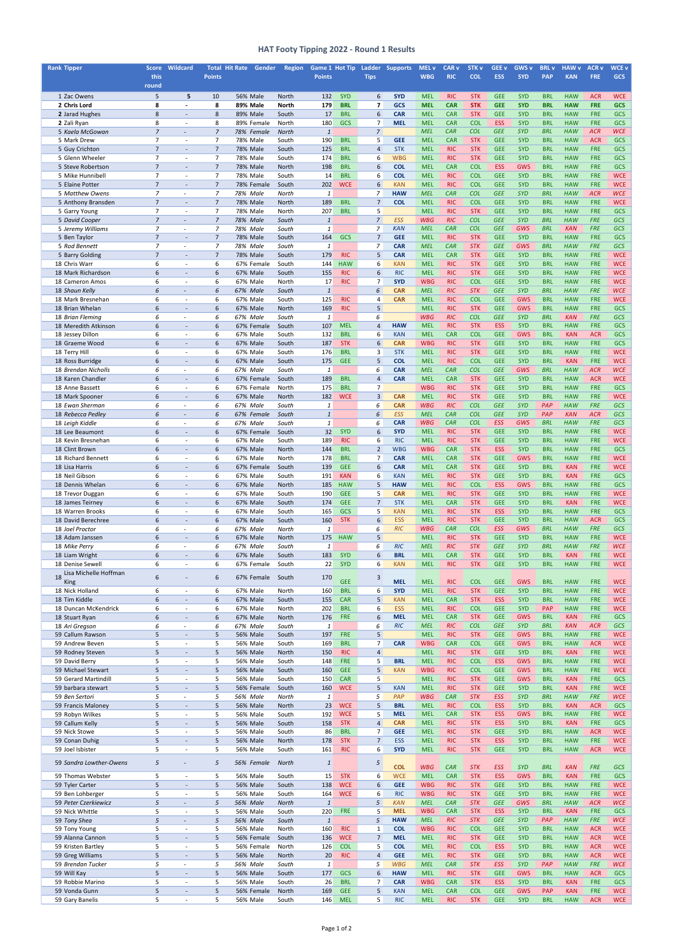| <b>Rank Tipper</b>                         |                                  | <b>Score Wildcard</b>                                |                                  | <b>Total Hit Rate</b><br><b>Gender</b> | <b>Region</b>         | Game 1 Hot Tip      |                          | <b>Ladder</b>        | <b>Supports</b>          | <b>MEL v</b>             | <b>CAR v</b>             | <b>STK v</b>             | GEE <sub>v</sub>         | <b>GWS v</b>             | <b>BRL v</b>             | <b>HAW v</b>             | <b>ACR v</b>             | <b>WCE v</b>             |
|--------------------------------------------|----------------------------------|------------------------------------------------------|----------------------------------|----------------------------------------|-----------------------|---------------------|--------------------------|----------------------|--------------------------|--------------------------|--------------------------|--------------------------|--------------------------|--------------------------|--------------------------|--------------------------|--------------------------|--------------------------|
|                                            | this                             |                                                      | <b>Points</b>                    |                                        |                       | <b>Points</b>       |                          | <b>Tips</b>          |                          | <b>WBG</b>               | <b>RIC</b>               | <b>COL</b>               | <b>ESS</b>               | <b>SYD</b>               | <b>PAP</b>               | <b>KAN</b>               | <b>FRE</b>               | GCS                      |
|                                            | round                            |                                                      |                                  |                                        |                       |                     |                          |                      |                          |                          |                          |                          |                          |                          |                          |                          |                          |                          |
| 1 Zac Owens                                | 5                                | 5                                                    | 10                               | 56% Male                               | North                 | 132                 | <b>SYD</b>               | 6                    | <b>SYD</b>               | <b>MEL</b>               | <b>RIC</b>               | <b>STK</b>               | <b>GEE</b>               | <b>SYD</b>               | <b>BRL</b>               | <b>HAW</b>               | <b>ACR</b>               | <b>WCE</b>               |
| 2 Chris Lord<br>2 Jarad Hughes             | 8<br>8                           | $\blacksquare$<br>$\overline{a}$                     | 8<br>8                           | <b>89% Male</b><br>89% Male            | <b>North</b><br>South | 179<br>17           | <b>BRL</b><br><b>BRL</b> | $\overline{ }$<br>6  | <b>GCS</b><br><b>CAR</b> | <b>MEL</b><br><b>MEL</b> | <b>CAR</b><br><b>CAR</b> | <b>STK</b><br><b>STK</b> | <b>GEE</b><br><b>GEE</b> | <b>SYD</b><br><b>SYD</b> | <b>BRL</b><br><b>BRL</b> | <b>HAW</b><br><b>HAW</b> | <b>FRE</b><br><b>FRE</b> | <b>GCS</b><br>GCS        |
| 2 Zali Ryan                                | 8                                | $\blacksquare$                                       | 8                                | 89% Female                             | North                 | 180                 | <b>GCS</b>               | $\overline{7}$       | <b>MEL</b>               | <b>MEL</b>               | <b>CAR</b>               | <b>COL</b>               | <b>ESS</b>               | <b>SYD</b>               | <b>BRL</b>               | <b>HAW</b>               | FRE                      | GCS                      |
| 5 Kaela McGowan                            | $\overline{7}$                   |                                                      | $\overline{7}$                   | 78% Female                             | <b>North</b>          | $\mathbf{1}$        |                          | $\overline{7}$       |                          | <b>MEL</b>               | CAR                      | <b>COL</b>               | <b>GEE</b>               | <b>SYD</b>               | <b>BRL</b>               | <b>HAW</b>               | <b>ACR</b>               | <b>WCE</b>               |
| 5 Mark Drew                                | $\overline{7}$                   | $\overline{\phantom{a}}$                             | $\overline{7}$                   | 78% Male                               | South                 | 190                 | <b>BRL</b>               | 5                    | <b>GEE</b>               | <b>MEL</b>               | <b>CAR</b>               | <b>STK</b>               | <b>GEE</b>               | <b>SYD</b>               | <b>BRL</b>               | <b>HAW</b>               | <b>ACR</b>               | GCS                      |
| 5 Guy Crichton                             | $\overline{7}$                   | $\overline{\phantom{0}}$                             | $\overline{7}$                   | 78% Male                               | South                 | 125                 | <b>BRL</b>               | $\overline{4}$       | <b>STK</b>               | <b>MEL</b>               | <b>RIC</b>               | <b>STK</b>               | <b>GEE</b>               | <b>SYD</b>               | <b>BRL</b>               | <b>HAW</b>               | <b>FRE</b>               | GCS                      |
| 5 Glenn Wheeler                            | $\overline{7}$                   | $\overline{a}$                                       | 7                                | 78% Male                               | South                 | 174                 | <b>BRL</b>               | 6                    | <b>WBG</b>               | <b>MEL</b>               | <b>RIC</b>               | <b>STK</b>               | <b>GEE</b>               | <b>SYD</b>               | <b>BRL</b>               | <b>HAW</b>               | FRE                      | GCS                      |
| 5 Steve Robertson                          | $\overline{7}$                   | $\overline{a}$                                       | $\overline{7}$                   | 78% Male                               | North                 | 198                 | <b>BRL</b>               | 6                    | <b>COL</b>               | <b>MEL</b>               | <b>CAR</b>               | <b>COL</b>               | <b>ESS</b>               | <b>GWS</b>               | <b>BRL</b>               | <b>HAW</b>               | <b>FRE</b>               | GCS                      |
| 5 Mike Hunnibell                           | $\overline{7}$<br>$\overline{7}$ | $\overline{a}$                                       | $\overline{7}$<br>$\overline{7}$ | 78% Male                               | South                 | 14                  | <b>BRL</b>               | 6<br>6               | <b>COL</b>               | <b>MEL</b>               | <b>RIC</b>               | <b>COL</b>               | <b>GEE</b>               | <b>SYD</b>               | <b>BRL</b>               | <b>HAW</b>               | <b>FRE</b><br><b>FRE</b> | <b>WCE</b>               |
| 5 Elaine Potter<br>5 Matthew Owens         | $\overline{7}$                   | $\overline{\phantom{a}}$                             | $\overline{7}$                   | 78% Female<br>78% Male                 | South<br>North        | 202<br>$\mathbf{1}$ | <b>WCE</b>               | $\overline{z}$       | <b>KAN</b><br><b>HAW</b> | <b>MEL</b><br><b>MEL</b> | <b>RIC</b><br><b>CAR</b> | <b>COL</b><br><b>COL</b> | <b>GEE</b><br><b>GEE</b> | <b>SYD</b><br><b>SYD</b> | <b>BRL</b><br><b>BRL</b> | <b>HAW</b><br><b>HAW</b> | <b>ACR</b>               | <b>WCE</b><br><b>WCE</b> |
| 5 Anthony Bransden                         | $\overline{7}$                   | $\overline{\phantom{a}}$                             | $\overline{7}$                   | 78% Male                               | North                 | 189                 | <b>BRL</b>               | $\overline{7}$       | <b>COL</b>               | <b>MEL</b>               | <b>RIC</b>               | <b>COL</b>               | <b>GEE</b>               | <b>SYD</b>               | <b>BRL</b>               | <b>HAW</b>               | <b>FRE</b>               | <b>WCE</b>               |
| 5 Garry Young                              | $\overline{7}$                   | $\blacksquare$                                       | $\overline{7}$                   | 78% Male                               | North                 | 207                 | <b>BRL</b>               | 5                    |                          | <b>MEL</b>               | <b>RIC</b>               | <b>STK</b>               | <b>GEE</b>               | <b>SYD</b>               | <b>BRL</b>               | <b>HAW</b>               | <b>FRE</b>               | GCS                      |
| 5 David Cooper                             | $\overline{7}$                   | $\overline{\phantom{a}}$                             | $\overline{7}$                   | 78% Male                               | South                 | $\mathbf{1}$        |                          | $\overline{7}$       | <b>ESS</b>               | <b>WBG</b>               | <b>RIC</b>               | <b>COL</b>               | <b>GEE</b>               | <b>SYD</b>               | <b>BRL</b>               | <b>HAW</b>               | <b>FRE</b>               | GCS                      |
| 5 Jeremy Williams                          | $\overline{7}$                   |                                                      | $\overline{7}$                   | 78% Male                               | South                 | $\mathbf{1}$        |                          | $\overline{7}$       | <b>KAN</b>               | <b>MEL</b>               | <b>CAR</b>               | <b>COL</b>               | <b>GEE</b>               | GWS                      | <b>BRL</b>               | <b>KAN</b>               | <b>FRE</b>               | GCS                      |
| 5 Ben Taylor                               | $\overline{7}$                   | $\overline{a}$                                       | $\overline{7}$                   | 78% Male                               | South                 | 164                 | GCS                      | $\overline{7}$       | <b>GEE</b>               | <b>MEL</b>               | <b>RIC</b>               | <b>STK</b>               | <b>GEE</b>               | <b>SYD</b>               | <b>BRL</b>               | <b>HAW</b>               | <b>FRE</b>               | GCS                      |
| 5 Rod Bennett                              | $\overline{7}$                   | $\overline{a}$                                       | $\overline{7}$                   | 78% Male                               | South                 | 1                   |                          | $\overline{7}$       | <b>CAR</b>               | <b>MEL</b>               | CAR                      | <b>STK</b>               | <b>GEE</b>               | GWS                      | <b>BRL</b>               | <b>HAW</b>               | <b>FRE</b>               | GCS                      |
| 5 Barry Golding                            | $\overline{7}$                   | $\overline{a}$                                       | $\overline{7}$                   | <b>78% Male</b>                        | South                 | 179                 | <b>RIC</b>               | 5                    | <b>CAR</b>               | <b>MEL</b>               | <b>CAR</b>               | <b>STK</b>               | <b>GEE</b>               | <b>SYD</b>               | <b>BRL</b>               | <b>HAW</b>               | <b>FRE</b>               | <b>WCE</b>               |
| 18 Chris Warr<br>18 Mark Richardson        | 6<br>6                           | $\overline{\phantom{a}}$<br>$\overline{\phantom{a}}$ | 6<br>6                           | 67% Female<br>67% Male                 | South<br>South        | 144<br>155          | <b>HAW</b><br><b>RIC</b> | 6<br>6               | <b>KAN</b><br><b>RIC</b> | <b>MEL</b><br><b>MEL</b> | <b>RIC</b><br><b>RIC</b> | <b>STK</b><br><b>STK</b> | <b>GEE</b><br><b>GEE</b> | <b>SYD</b><br><b>SYD</b> | <b>BRL</b><br><b>BRL</b> | <b>HAW</b><br><b>HAW</b> | <b>FRE</b><br><b>FRE</b> | <b>WCE</b><br><b>WCE</b> |
| 18 Cameron Amos                            | 6                                | $\overline{a}$                                       | 6                                | 67% Male                               | North                 | 17                  | <b>RIC</b>               | $\overline{7}$       | <b>SYD</b>               | <b>WBG</b>               | <b>RIC</b>               | <b>COL</b>               | <b>GEE</b>               | <b>SYD</b>               | <b>BRL</b>               | <b>HAW</b>               | <b>FRE</b>               | <b>WCE</b>               |
| 18 Shaun Kelly                             | 6                                | $\overline{\phantom{a}}$                             | 6                                | 67% Male                               | South                 | $\mathbf{1}$        |                          | 6                    | <b>CAR</b>               | <b>MEL</b>               | <b>RIC</b>               | <b>STK</b>               | <b>GEE</b>               | <b>SYD</b>               | <b>BRL</b>               | <b>HAW</b>               | <b>FRE</b>               | <b>WCE</b>               |
| 18 Mark Bresnehan                          | 6                                | $\overline{\phantom{a}}$                             | 6                                | 67% Male                               | South                 | 125                 | <b>RIC</b>               | 4                    | <b>CAR</b>               | <b>MEL</b>               | <b>RIC</b>               | <b>COL</b>               | <b>GEE</b>               | <b>GWS</b>               | <b>BRL</b>               | <b>HAW</b>               | <b>FRE</b>               | <b>WCE</b>               |
| 18 Brian Whelan                            | 6                                | $\overline{\phantom{a}}$                             | 6                                | 67% Male                               | North                 | 169                 | <b>RIC</b>               | 5                    |                          | <b>MEL</b>               | <b>RIC</b>               | <b>STK</b>               | <b>GEE</b>               | <b>GWS</b>               | <b>BRL</b>               | <b>HAW</b>               | <b>FRE</b>               | GCS                      |
| 18 Brian Fleming                           | 6                                | $\overline{\phantom{a}}$                             | 6                                | 67% Male                               | South                 | $\mathbf{1}$        |                          | 6                    |                          | <b>WBG</b>               | <b>RIC</b>               | <b>COL</b>               | <b>GEE</b>               | <b>SYD</b>               | <b>BRL</b>               | <b>KAN</b>               | <b>FRE</b>               | GCS                      |
| 18 Meredith Atkinson                       | 6                                | $\overline{\phantom{a}}$                             | 6                                | 67% Female                             | South                 | 107                 | <b>MEL</b>               | $\overline{4}$       | <b>HAW</b>               | <b>MEL</b>               | <b>RIC</b>               | <b>STK</b>               | <b>ESS</b>               | <b>SYD</b>               | <b>BRL</b>               | <b>HAW</b>               | <b>FRE</b>               | GCS                      |
| 18 Jessey Dillon                           | 6                                | $\overline{a}$                                       | 6                                | 67% Male                               | South                 | 132                 | <b>BRL</b>               | 6                    | <b>KAN</b>               | <b>MEL</b>               | <b>CAR</b>               | <b>COL</b>               | <b>GEE</b>               | <b>GWS</b>               | <b>BRL</b>               | <b>KAN</b>               | <b>ACR</b>               | GCS                      |
| 18 Graeme Wood                             | 6<br>6                           | $\overline{a}$<br>$\overline{a}$                     | 6<br>6                           | 67% Male                               | South<br>South        | 187<br>176          | <b>STK</b><br><b>BRL</b> | 6<br>3               | <b>CAR</b><br><b>STK</b> | <b>WBG</b><br><b>MEL</b> | <b>RIC</b><br><b>RIC</b> | <b>STK</b><br><b>STK</b> | <b>GEE</b><br><b>GEE</b> | <b>SYD</b><br><b>SYD</b> | <b>BRL</b><br><b>BRL</b> | <b>HAW</b><br><b>HAW</b> | <b>FRE</b><br><b>FRE</b> | GCS<br><b>WCE</b>        |
| 18 Terry Hill<br>18 Ross Burridge          | 6                                | $\overline{\phantom{a}}$                             | 6                                | 67% Male<br>67% Male                   | South                 | 175                 | <b>GEE</b>               | 5                    | <b>COL</b>               | <b>MEL</b>               | <b>RIC</b>               | <b>COL</b>               | <b>GEE</b>               | <b>SYD</b>               | <b>BRL</b>               | <b>KAN</b>               | <b>FRE</b>               | <b>WCE</b>               |
| 18 Brendan Nicholls                        | 6                                | $\overline{a}$                                       | 6                                | 67% Male                               | South                 | $\mathbf{1}$        |                          | 6                    | <b>CAR</b>               | <b>MEL</b>               | <b>CAR</b>               | <b>COL</b>               | <b>GEE</b>               | GWS                      | <b>BRL</b>               | <b>HAW</b>               | <b>ACR</b>               | <b>WCE</b>               |
| 18 Karen Chandler                          | $6\phantom{1}6$                  | $\overline{a}$                                       | 6                                | 67% Female                             | South                 | 189                 | <b>BRL</b>               | $\overline{4}$       | <b>CAR</b>               | <b>MEL</b>               | <b>CAR</b>               | <b>STK</b>               | <b>GEE</b>               | <b>SYD</b>               | <b>BRL</b>               | <b>HAW</b>               | <b>ACR</b>               | <b>WCE</b>               |
| 18 Anne Bassett                            | 6                                | $\overline{\phantom{a}}$                             | 6                                | 67% Female                             | North                 | 175                 | <b>BRL</b>               | $\overline{7}$       |                          | <b>WBG</b>               | <b>RIC</b>               | <b>STK</b>               | <b>GEE</b>               | <b>SYD</b>               | <b>BRL</b>               | <b>HAW</b>               | <b>FRE</b>               | GCS                      |
| 18 Mark Spooner                            | 6                                | $\overline{\phantom{a}}$                             | 6                                | 67% Male                               | North                 | 182                 | <b>WCE</b>               | 3                    | <b>CAR</b>               | <b>MEL</b>               | <b>RIC</b>               | <b>STK</b>               | <b>GEE</b>               | <b>SYD</b>               | <b>BRL</b>               | <b>HAW</b>               | <b>FRE</b>               | <b>WCE</b>               |
| 18 Ewan Sherman                            | 6                                |                                                      | 6                                | 67% Male                               | South                 | $\mathbf{1}$        |                          | 6                    | <b>CAR</b>               | <b>WBG</b>               | <b>RIC</b>               | <b>COL</b>               | <b>GEE</b>               | <b>SYD</b>               | PAP                      | <b>HAW</b>               | <b>FRE</b>               | <b>GCS</b>               |
| 18 Rebecca Pedley                          | 6                                |                                                      | 6                                | 67% Female                             | South                 | $\overline{1}$      |                          | 6                    | <b>ESS</b>               | <b>MEL</b>               | <b>CAR</b>               | <b>COL</b>               | <b>GEE</b>               | <b>SYD</b>               | <b>PAP</b>               | <b>KAN</b>               | <b>ACR</b>               | GCS                      |
| 18 Leigh Kiddle                            | 6                                | $\overline{\phantom{a}}$                             | 6                                | 67% Male                               | South                 | 1                   |                          | 6                    | <b>CAR</b>               | WBG                      | <b>CAR</b>               | <b>COL</b>               | <b>ESS</b>               | GWS                      | <b>BRL</b>               | <b>HAW</b>               | <b>FRE</b>               | GCS                      |
| 18 Lee Beaumont<br>18 Kevin Bresnehan      | $6\phantom{1}6$<br>6             | $\overline{\phantom{a}}$<br>$\blacksquare$           | 6<br>6                           | 67% Female<br>67% Male                 | South<br>South        | 32<br>189           | <b>SYD</b><br><b>RIC</b> | 6<br>6               | <b>SYD</b><br><b>RIC</b> | <b>MEL</b><br><b>MEL</b> | <b>RIC</b><br><b>RIC</b> | <b>STK</b><br><b>STK</b> | <b>GEE</b><br><b>GEE</b> | <b>SYD</b><br><b>SYD</b> | <b>BRL</b><br><b>BRL</b> | <b>HAW</b><br><b>HAW</b> | <b>FRE</b><br>FRE        | <b>WCE</b><br><b>WCE</b> |
| 18 Clint Brown                             | 6                                | $\overline{\phantom{a}}$                             | 6                                | 67% Male                               | North                 | 144                 | <b>BRL</b>               | $\overline{2}$       | <b>WBG</b>               | <b>WBG</b>               | <b>CAR</b>               | <b>STK</b>               | <b>ESS</b>               | <b>SYD</b>               | <b>BRL</b>               | <b>HAW</b>               | FRE                      | GCS                      |
| 18 Richard Bennett                         | 6                                | $\blacksquare$                                       | 6                                | 67% Male                               | North                 | 178                 | <b>BRL</b>               | $\overline{7}$       | <b>CAR</b>               | <b>MEL</b>               | <b>CAR</b>               | <b>STK</b>               | <b>GEE</b>               | <b>GWS</b>               | <b>BRL</b>               | <b>HAW</b>               | FRE                      | <b>WCE</b>               |
| 18 Lisa Harris                             | 6                                | $\overline{a}$                                       | 6                                | 67% Female                             | South                 | 139                 | <b>GEE</b>               | 6                    | <b>CAR</b>               | <b>MEL</b>               | <b>CAR</b>               | <b>STK</b>               | <b>GEE</b>               | <b>SYD</b>               | <b>BRL</b>               | <b>KAN</b>               | <b>FRE</b>               | <b>WCE</b>               |
| 18 Neil Gibson                             | 6                                | $\overline{\phantom{a}}$                             | 6                                | 67% Male                               | South                 | 191                 | <b>KAN</b>               | 6                    | <b>KAN</b>               | <b>MEL</b>               | <b>RIC</b>               | <b>STK</b>               | <b>GEE</b>               | <b>SYD</b>               | <b>BRL</b>               | <b>KAN</b>               | <b>FRE</b>               | GCS                      |
| 18 Dennis Whelan                           | 6                                | $\overline{\phantom{a}}$                             | 6                                | 67% Male                               | North                 | 185                 | <b>HAW</b>               | 5                    | <b>HAW</b>               | <b>MEL</b>               | <b>RIC</b>               | <b>COL</b>               | <b>ESS</b>               | <b>GWS</b>               | <b>BRL</b>               | <b>HAW</b>               | <b>FRE</b>               | GCS                      |
| 18 Trevor Duggan                           | 6                                | $\blacksquare$                                       | 6                                | 67% Male                               | South                 | 190                 | <b>GEE</b>               | 5                    | <b>CAR</b>               | <b>MEL</b>               | <b>RIC</b>               | <b>STK</b>               | <b>GEE</b>               | <b>SYD</b>               | <b>BRL</b>               | <b>HAW</b>               | <b>FRE</b>               | <b>WCE</b>               |
| 18 James Teirney                           | 6                                | $\overline{\phantom{a}}$                             | 6                                | 67% Male                               | South                 | 174                 | <b>GEE</b>               | $\overline{7}$       | <b>STK</b>               | <b>MEL</b>               | <b>CAR</b>               | <b>STK</b>               | <b>GEE</b>               | <b>SYD</b>               | <b>BRL</b>               | <b>KAN</b>               | <b>FRE</b><br>FRE        | <b>WCE</b>               |
| 18 Warren Brooks<br>18 David Berechree     | 6<br>6                           | $\overline{\phantom{a}}$<br>$\overline{\phantom{a}}$ | 6<br>6                           | 67% Male<br>67% Male                   | South<br>South        | 165<br>160          | GCS<br><b>STK</b>        | 5<br>6               | <b>KAN</b><br><b>ESS</b> | <b>MEL</b><br><b>MEL</b> | <b>RIC</b><br><b>RIC</b> | <b>STK</b><br><b>STK</b> | <b>ESS</b><br><b>GEE</b> | <b>SYD</b><br><b>SYD</b> | <b>BRL</b><br><b>BRL</b> | <b>HAW</b><br><b>HAW</b> | <b>ACR</b>               | GCS<br>GCS               |
| 18 Joel Proctor                            | 6                                | $\overline{\phantom{a}}$                             | 6                                | 67% Male                               | North                 | $\mathbf{1}$        |                          | 6                    | <b>RIC</b>               | <b>WBG</b>               | CAR                      | <b>COL</b>               | <b>ESS</b>               | <b>GWS</b>               | <b>BRL</b>               | <b>HAW</b>               | <b>FRE</b>               | GCS                      |
| 18 Adam Janssen                            | $6\phantom{1}6$                  | $\overline{\phantom{a}}$                             | 6                                | 67% Male                               | North                 | 175                 | <b>HAW</b>               | 5                    |                          | <b>MEL</b>               | <b>RIC</b>               | <b>STK</b>               | <b>GEE</b>               | <b>SYD</b>               | <b>BRL</b>               | <b>HAW</b>               | FRE                      | <b>WCE</b>               |
| 18 Mike Perry                              | 6                                | $\overline{a}$                                       | 6                                | 67% Male                               | South                 | $\mathbf{1}$        |                          | 6                    | RIC                      | <b>MEL</b>               | RIC                      | <b>STK</b>               | <b>GEE</b>               | <b>SYD</b>               | <b>BRL</b>               | <b>HAW</b>               | <b>FRE</b>               | <b>WCE</b>               |
| 18 Liam Wright                             | $6\,$                            | $\overline{\phantom{a}}$                             | 6                                | 67% Male                               | South                 | 183                 | SYD                      | 6                    | <b>BRL</b>               | <b>MEL</b>               | <b>CAR</b>               | <b>STK</b>               | <b>GEE</b>               | <b>SYD</b>               | <b>BRL</b>               | <b>KAN</b>               | <b>FRE</b>               | <b>WCE</b>               |
| 18 Denise Sewell                           | 6                                | $\blacksquare$                                       | 6                                | 67% Female                             | South                 | 22                  | SYD                      | 6                    | <b>KAN</b>               | <b>MEL</b>               | <b>RIC</b>               | <b>STK</b>               | <b>GEE</b>               | <b>SYD</b>               | <b>BRL</b>               | <b>HAW</b>               | <b>FRE</b>               | <b>WCE</b>               |
| Lisa Michelle Hoffman<br>18                | 6                                | $\overline{\phantom{a}}$                             | 6                                | 67% Female                             | South                 | 170                 |                          | 3                    |                          |                          |                          |                          |                          |                          |                          |                          |                          |                          |
| King                                       |                                  |                                                      |                                  |                                        |                       |                     | <b>GEE</b>               |                      | <b>MEL</b>               | <b>MEL</b>               | <b>RIC</b>               | <b>COL</b>               | <b>GEE</b>               | <b>GWS</b>               | <b>BRL</b>               | <b>HAW</b>               | <b>FRE</b><br><b>FRE</b> | <b>WCE</b>               |
| 18 Nick Holland<br>18 Tim Kiddle           | 6<br>$6\phantom{1}6$             | $\overline{\phantom{a}}$<br>$\overline{\phantom{a}}$ | 6<br>6                           | 67% Male<br>67% Male                   | North<br>South        | 160<br>155          | <b>BRL</b><br><b>CAR</b> | 6<br>5               | <b>SYD</b><br><b>KAN</b> | <b>MEL</b><br><b>MEL</b> | <b>RIC</b><br><b>CAR</b> | <b>STK</b><br><b>STK</b> | <b>GEE</b><br><b>ESS</b> | <b>SYD</b><br><b>SYD</b> | <b>BRL</b><br><b>BRL</b> | <b>HAW</b><br><b>HAW</b> | <b>FRE</b>               | <b>WCE</b><br><b>WCE</b> |
| 18 Duncan McKendrick                       | 6                                | $\sim$                                               | 6                                | 67% Male                               | North                 | 202                 | <b>BRL</b>               | 6                    | <b>ESS</b>               | <b>MEL</b>               | <b>RIC</b>               | <b>COL</b>               | <b>GEE</b>               | <b>SYD</b>               | <b>PAP</b>               | <b>HAW</b>               | <b>FRE</b>               | <b>WCE</b>               |
| 18 Stuart Ryan                             | 6                                | $\overline{\phantom{a}}$                             | 6                                | 67% Male                               | North                 | 176                 | <b>FRE</b>               | 6                    | <b>MEL</b>               | <b>MEL</b>               | <b>CAR</b>               | <b>STK</b>               | <b>GEE</b>               | <b>GWS</b>               | <b>BRL</b>               | <b>KAN</b>               | <b>FRE</b>               | GCS                      |
| 18 Ari Gregson                             | 6                                | $\overline{\phantom{a}}$                             | 6                                | 67% Male                               | South                 | $\mathbf{1}$        |                          | 6                    | <b>RIC</b>               | <b>MEL</b>               | <b>RIC</b>               | <b>COL</b>               | <b>GEE</b>               | <b>SYD</b>               | <b>BRL</b>               | <b>KAN</b>               | <b>ACR</b>               | GCS                      |
| 59 Callum Rawson                           | 5                                | $\overline{\phantom{a}}$                             | 5                                | <b>56% Male</b>                        | South                 | 197                 | <b>FRE</b>               | 5                    |                          | <b>MEL</b>               | <b>RIC</b>               | <b>STK</b>               | <b>GEE</b>               | <b>GWS</b>               | <b>BRL</b>               | <b>HAW</b>               | <b>FRE</b>               | <b>WCE</b>               |
| 59 Andrew Beven                            | 5                                | $\overline{\phantom{a}}$                             | 5                                | 56% Male                               | South                 | 169                 | <b>BRL</b>               | $\overline{7}$       | <b>CAR</b>               | <b>WBG</b>               | <b>CAR</b>               | <b>COL</b>               | <b>GEE</b>               | <b>GWS</b>               | <b>BRL</b>               | <b>HAW</b>               | <b>ACR</b>               | <b>WCE</b>               |
| 59 Rodney Steven                           | 5                                | $\overline{\phantom{a}}$                             | 5                                | 56% Male                               | North                 | 150                 | <b>RIC</b>               | $\overline{4}$       |                          | <b>MEL</b>               | <b>RIC</b>               | <b>STK</b>               | <b>GEE</b>               | <b>SYD</b>               | <b>BRL</b>               | <b>KAN</b>               | <b>FRE</b>               | <b>WCE</b>               |
| 59 David Berry                             | 5                                | $\overline{\phantom{a}}$                             | 5                                | 56% Male                               | South                 | 148                 | <b>FRE</b>               | 5                    | <b>BRL</b>               | <b>MEL</b>               | <b>RIC</b>               | <b>COL</b>               | <b>ESS</b>               | <b>GWS</b>               | <b>BRL</b>               | <b>HAW</b>               | <b>FRE</b>               | <b>WCE</b>               |
| 59 Michael Stewart<br>59 Gerard Martindill | 5<br>5                           | $\overline{\phantom{a}}$<br>$\blacksquare$           | 5<br>5                           | <b>56% Male</b><br>56% Male            | South<br>South        | 160<br>150          | <b>GEE</b><br><b>CAR</b> | 5<br>5               | <b>KAN</b>               | <b>WBG</b><br><b>MEL</b> | <b>RIC</b><br><b>RIC</b> | <b>COL</b><br><b>STK</b> | <b>GEE</b><br><b>GEE</b> | <b>GWS</b><br><b>GWS</b> | <b>BRL</b><br><b>BRL</b> | <b>HAW</b><br><b>KAN</b> | <b>FRE</b><br><b>FRE</b> | <b>WCE</b><br>GCS        |
| 59 barbara stewart                         | 5                                | $\overline{\phantom{a}}$                             | 5                                | 56% Female                             | South                 | 160                 | <b>WCE</b>               | 5                    | <b>KAN</b>               | <b>MEL</b>               | <b>RIC</b>               | <b>STK</b>               | <b>GEE</b>               | <b>SYD</b>               | <b>BRL</b>               | <b>KAN</b>               | <b>FRE</b>               | <b>WCE</b>               |
| 59 Ben Sertori                             | 5                                | $\overline{\phantom{a}}$                             | 5                                | 56% Male                               | North                 | $\mathbf{1}$        |                          | 5                    | PAP                      | <b>WBG</b>               | <b>CAR</b>               | <b>STK</b>               | <b>ESS</b>               | <b>SYD</b>               | <b>BRL</b>               | <b>HAW</b>               | <b>FRE</b>               | <b>WCE</b>               |
| 59 Francis Maloney                         | 5                                | $\overline{\phantom{a}}$                             | 5                                | 56% Male                               | North                 | 23                  | <b>WCE</b>               | 5                    | <b>BRL</b>               | <b>MEL</b>               | <b>RIC</b>               | <b>COL</b>               | <b>ESS</b>               | <b>SYD</b>               | <b>BRL</b>               | <b>KAN</b>               | <b>ACR</b>               | GCS                      |
| 59 Robyn Wilkes                            | 5                                | $\overline{\phantom{a}}$                             | 5                                | 56% Male                               | South                 | 192                 | <b>WCE</b>               | 5                    | <b>MEL</b>               | <b>MEL</b>               | <b>CAR</b>               | <b>STK</b>               | <b>ESS</b>               | <b>GWS</b>               | <b>BRL</b>               | <b>HAW</b>               | <b>FRE</b>               | <b>WCE</b>               |
| 59 Callum Kelly                            | 5                                | $\overline{\phantom{a}}$                             | 5                                | <b>56% Male</b>                        | South                 | 158                 | <b>STK</b>               | $\overline{4}$       | <b>CAR</b>               | <b>MEL</b>               | <b>RIC</b>               | <b>STK</b>               | <b>ESS</b>               | <b>SYD</b>               | <b>BRL</b>               | <b>KAN</b>               | <b>FRE</b>               | GCS                      |
| 59 Nick Stowe                              | 5                                | $\overline{\phantom{a}}$                             | 5                                | 56% Male                               | South                 | 86                  | <b>BRL</b>               | $\overline{7}$       | <b>GEE</b>               | <b>MEL</b>               | <b>RIC</b>               | <b>STK</b>               | <b>GEE</b>               | <b>SYD</b>               | <b>BRL</b>               | <b>HAW</b>               | <b>ACR</b>               | <b>WCE</b>               |
| 59 Conan Duhig                             | 5                                | $\overline{\phantom{a}}$                             | 5                                | 56% Male                               | North                 | 178                 | <b>STK</b>               | $\overline{7}$       | <b>ESS</b>               | <b>MEL</b>               | <b>RIC</b>               | <b>STK</b>               | <b>ESS</b>               | <b>SYD</b>               | <b>BRL</b>               | <b>HAW</b>               | <b>FRE</b>               | <b>WCE</b>               |
| 59 Joel Isbister                           | 5                                | $\overline{\phantom{a}}$                             | 5                                | 56% Male                               | South                 | 161                 | <b>RIC</b>               | 6                    | <b>SYD</b>               | <b>MEL</b>               | <b>RIC</b>               | <b>STK</b>               | <b>GEE</b>               | <b>SYD</b>               | <b>BRL</b>               | <b>HAW</b>               | <b>ACR</b>               | <b>WCE</b>               |
| 59 Sandra Lowther-Owens                    | 5                                |                                                      | 5                                | 56% Female                             | North                 | $\mathbf{1}$        |                          | 5                    | <b>COL</b>               | <b>WBG</b>               | CAR                      | <b>STK</b>               | <b>ESS</b>               | <b>SYD</b>               | <b>BRL</b>               | <b>KAN</b>               | <b>FRE</b>               | GCS                      |
| 59 Thomas Webster                          | 5                                | $\overline{\phantom{a}}$                             | 5                                | 56% Male                               | South                 | 15                  | <b>STK</b>               | 6                    | <b>WCE</b>               | <b>MEL</b>               | <b>CAR</b>               | <b>STK</b>               | <b>ESS</b>               | <b>GWS</b>               | <b>BRL</b>               | <b>KAN</b>               | <b>FRE</b>               | GCS                      |
| 59 Tyler Carter                            | 5                                | $\overline{\phantom{a}}$                             | 5                                | <b>56% Male</b>                        | South                 | 138                 | <b>WCE</b>               | 6                    | <b>GEE</b>               | <b>WBG</b>               | <b>RIC</b>               | <b>STK</b>               | <b>GEE</b>               | <b>SYD</b>               | <b>BRL</b>               | <b>HAW</b>               | <b>FRE</b>               | <b>WCE</b>               |
| 59 Ben Lohberger                           | 5                                | $\overline{\phantom{a}}$                             | 5                                | 56% Male                               | South                 | 164                 | <b>WCE</b>               | 6                    | <b>RIC</b>               | <b>WBG</b>               | <b>RIC</b>               | <b>STK</b>               | <b>GEE</b>               | <b>SYD</b>               | <b>BRL</b>               | <b>HAW</b>               | <b>FRE</b>               | <b>WCE</b>               |
| 59 Peter Czerkiewicz                       | $\sqrt{5}$                       | $\overline{\phantom{a}}$                             | 5                                | 56% Male                               | North                 | $\mathbf{1}$        |                          | 5 <sup>5</sup>       | <b>KAN</b>               | <b>MEL</b>               | CAR                      | <b>STK</b>               | <b>GEE</b>               | GWS                      | <b>BRL</b>               | <b>HAW</b>               | <b>ACR</b>               | <b>WCE</b>               |
| 59 Nick Whittle                            | 5                                | $\overline{\phantom{a}}$                             | 5                                | <b>56% Male</b>                        | South                 | 220                 | <b>FRE</b>               | 5                    | <b>MEL</b>               | <b>WBG</b>               | <b>CAR</b>               | <b>STK</b>               | <b>ESS</b>               | <b>SYD</b>               | <b>BRL</b>               | <b>KAN</b>               | <b>FRE</b>               | GCS                      |
| 59 Tony Shea                               | $\sqrt{5}$                       | $\blacksquare$                                       | 5                                | <b>56% Male</b>                        | South                 | $\mathbf{1}$        |                          | $\sqrt{5}$           | <b>HAW</b>               | <b>MEL</b>               | RIC                      | <b>STK</b>               | <b>GEE</b>               | <b>SYD</b>               | PAP                      | <b>HAW</b>               | <b>FRE</b>               | <b>WCE</b>               |
| 59 Tony Young                              | 5                                | $\overline{\phantom{a}}$                             | 5                                | 56% Male                               | North                 | 160                 | <b>RIC</b>               | $\mathbf{1}$         | <b>COL</b>               | <b>WBG</b>               | <b>RIC</b>               | <b>COL</b>               | <b>GEE</b>               | <b>SYD</b>               | <b>BRL</b>               | <b>HAW</b>               | <b>ACR</b>               | <b>WCE</b>               |
| 59 Alanna Cannon<br>59 Kristen Bartley     | 5<br>5                           | $\overline{\phantom{a}}$<br>$\overline{\phantom{a}}$ | 5<br>5                           | 56% Female<br>56% Female               | South<br>North        | 136<br>126          | <b>WCE</b><br><b>COL</b> | $7\overline{ }$<br>5 | <b>MEL</b><br><b>COL</b> | <b>MEL</b><br><b>MEL</b> | <b>RIC</b><br><b>RIC</b> | <b>STK</b><br><b>COL</b> | <b>GEE</b><br><b>ESS</b> | <b>SYD</b><br><b>SYD</b> | <b>BRL</b><br><b>BRL</b> | <b>HAW</b><br><b>HAW</b> | <b>ACR</b><br><b>ACR</b> | <b>WCE</b><br><b>WCE</b> |
| 59 Greg Williams                           | 5                                | $\overline{\phantom{a}}$                             | 5                                | 56% Male                               | North                 | 20                  | <b>RIC</b>               | $\overline{4}$       | <b>GEE</b>               | <b>MEL</b>               | <b>RIC</b>               | <b>STK</b>               | <b>GEE</b>               | <b>SYD</b>               | <b>BRL</b>               | <b>HAW</b>               | <b>ACR</b>               | <b>WCE</b>               |
| 59 Brendan Tucker                          | 5                                | $\overline{\phantom{a}}$                             | 5                                | <b>56% Male</b>                        | South                 | $\mathbf{1}$        |                          | 5                    | <b>WBG</b>               | <b>MEL</b>               | CAR                      | <b>STK</b>               | <b>ESS</b>               | <b>SYD</b>               | PAP                      | <b>HAW</b>               | <b>FRE</b>               | <b>WCE</b>               |
| 59 Will Kay                                | 5                                | $\overline{\phantom{a}}$                             | 5                                | 56% Male                               | South                 | 177                 | GCS                      | 6                    | <b>HAW</b>               | <b>MEL</b>               | <b>RIC</b>               | <b>STK</b>               | <b>GEE</b>               | <b>GWS</b>               | <b>BRL</b>               | <b>HAW</b>               | <b>ACR</b>               | GCS                      |
| 59 Robbie Marino                           | 5                                | $\overline{\phantom{a}}$                             | 5                                | 56% Male                               | South                 | 26                  | <b>BRL</b>               | $\overline{7}$       | <b>CAR</b>               | <b>WBG</b>               | <b>CAR</b>               | <b>STK</b>               | <b>ESS</b>               | <b>SYD</b>               | <b>BRL</b>               | <b>KAN</b>               | <b>FRE</b>               | <b>GCS</b>               |
| 59 Vonda Gunn                              | 5                                | $\overline{\phantom{a}}$                             | 5                                | 56% Female                             | North                 | 169                 | <b>GEE</b>               | 5                    | <b>KAN</b>               | <b>MEL</b>               | <b>CAR</b>               | <b>COL</b>               | <b>GEE</b>               | GWS                      | PAP                      | <b>KAN</b>               | <b>FRE</b>               | <b>WCE</b>               |
| 59 Gary Banelis                            | 5                                | $\overline{\phantom{a}}$                             | 5                                | 56% Male                               | South                 | 146                 | <b>MEL</b>               | 5 <sup>1</sup>       | <b>RIC</b>               | <b>MEL</b>               | <b>RIC</b>               | <b>STK</b>               | <b>GEE</b>               | <b>SYD</b>               | <b>BRL</b>               | <b>HAW</b>               | <b>ACR</b>               | <b>WCE</b>               |

## HAT Footy Tipping 2022 - Round 1 Results